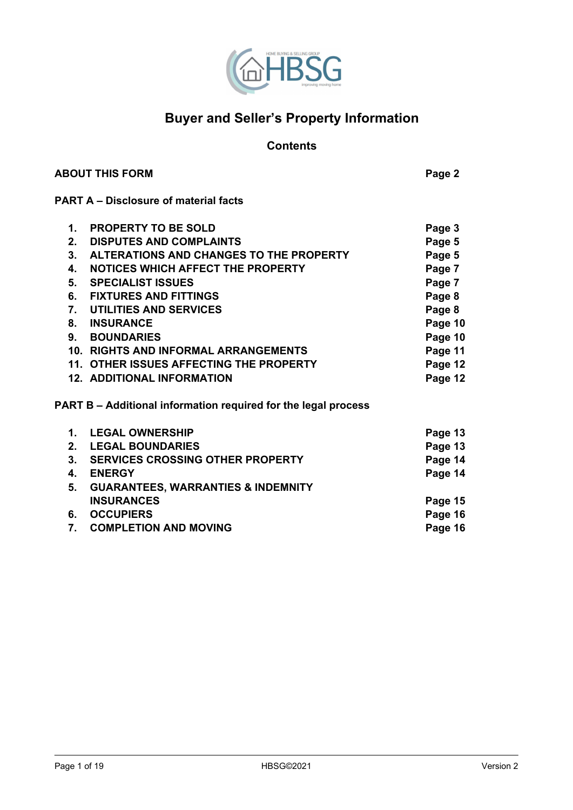

# **Buyer and Seller's Property Information**

# **Contents**

| <b>ABOUT THIS FORM</b> | Page 2 |
|------------------------|--------|
|                        |        |

# **PART A – Disclosure of material facts**

| 1.      | <b>PROPERTY TO BE SOLD</b>                                            | Page 3  |
|---------|-----------------------------------------------------------------------|---------|
| $2_{-}$ | <b>DISPUTES AND COMPLAINTS</b>                                        | Page 5  |
| $3_{-}$ | ALTERATIONS AND CHANGES TO THE PROPERTY                               | Page 5  |
| 4.      | <b>NOTICES WHICH AFFECT THE PROPERTY</b>                              | Page 7  |
| 5.      | <b>SPECIALIST ISSUES</b>                                              | Page 7  |
| 6.      | <b>FIXTURES AND FITTINGS</b>                                          | Page 8  |
| 7.      | <b>UTILITIES AND SERVICES</b>                                         | Page 8  |
| 8.      | <b>INSURANCE</b>                                                      | Page 10 |
| 9.      | <b>BOUNDARIES</b>                                                     | Page 10 |
|         | 10. RIGHTS AND INFORMAL ARRANGEMENTS                                  | Page 11 |
|         | 11. OTHER ISSUES AFFECTING THE PROPERTY                               | Page 12 |
|         | <b>12. ADDITIONAL INFORMATION</b>                                     | Page 12 |
|         | <b>PART B – Additional information required for the legal process</b> |         |
| 1.      | <b>LEGAL OWNERSHIP</b>                                                | Page 13 |
| 2.      | <b>LEGAL BOUNDARIES</b>                                               | Page 13 |
| 3.      | <b>SERVICES CROSSING OTHER PROPERTY</b>                               | Page 14 |

| 4. ENERGY                             | Page 14 |
|---------------------------------------|---------|
| 5. GUARANTEES, WARRANTIES & INDEMNITY |         |
| <b>INSURANCES</b>                     | Page 15 |
| 6. OCCUPIERS                          | Page 16 |
| 7. COMPLETION AND MOVING              | Page 16 |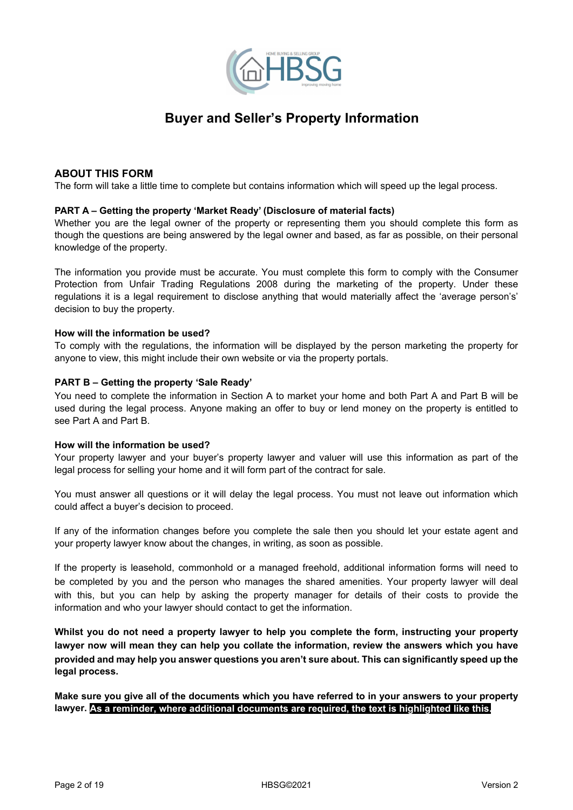

# **Buyer and Seller's Property Information**

## **ABOUT THIS FORM**

The form will take a little time to complete but contains information which will speed up the legal process.

#### **PART A – Getting the property 'Market Ready' (Disclosure of material facts)**

Whether you are the legal owner of the property or representing them you should complete this form as though the questions are being answered by the legal owner and based, as far as possible, on their personal knowledge of the property.

The information you provide must be accurate. You must complete this form to comply with the Consumer Protection from Unfair Trading Regulations 2008 during the marketing of the property. Under these regulations it is a legal requirement to disclose anything that would materially affect the 'average person's' decision to buy the property.

#### **How will the information be used?**

To comply with the regulations, the information will be displayed by the person marketing the property for anyone to view, this might include their own website or via the property portals.

#### **PART B – Getting the property 'Sale Ready'**

You need to complete the information in Section A to market your home and both Part A and Part B will be used during the legal process. Anyone making an offer to buy or lend money on the property is entitled to see Part A and Part B.

#### **How will the information be used?**

Your property lawyer and your buyer's property lawyer and valuer will use this information as part of the legal process for selling your home and it will form part of the contract for sale.

You must answer all questions or it will delay the legal process. You must not leave out information which could affect a buyer's decision to proceed.

If any of the information changes before you complete the sale then you should let your estate agent and your property lawyer know about the changes, in writing, as soon as possible.

If the property is leasehold, commonhold or a managed freehold, additional information forms will need to be completed by you and the person who manages the shared amenities. Your property lawyer will deal with this, but you can help by asking the property manager for details of their costs to provide the information and who your lawyer should contact to get the information.

**Whilst you do not need a property lawyer to help you complete the form, instructing your property lawyer now will mean they can help you collate the information, review the answers which you have provided and may help you answer questions you aren't sure about. This can significantly speed up the legal process.**

**Make sure you give all of the documents which you have referred to in your answers to your property lawyer. As a reminder, where additional documents are required, the text is highlighted like this.**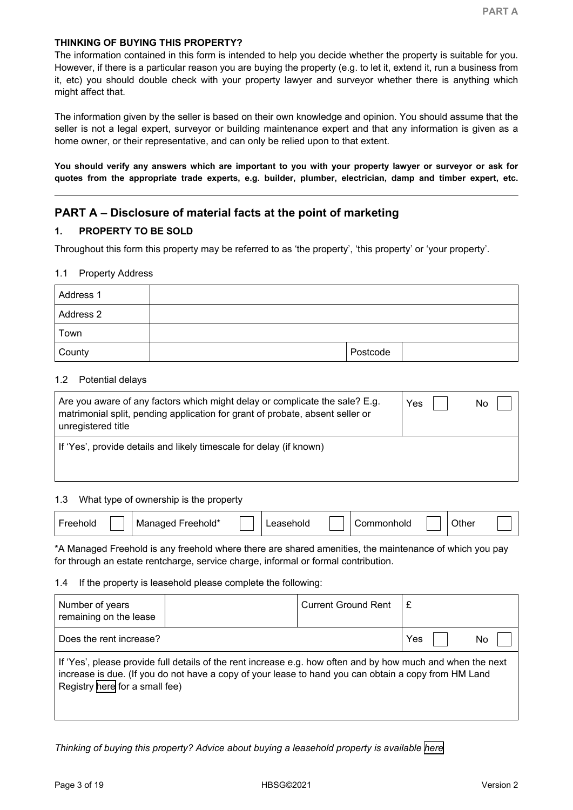The information contained in this form is intended to help you decide whether the property is suitable for you. However, if there is a particular reason you are buying the property (e.g. to let it, extend it, run a business from it, etc) you should double check with your property lawyer and surveyor whether there is anything which might affect that.

The information given by the seller is based on their own knowledge and opinion. You should assume that the seller is not a legal expert, surveyor or building maintenance expert and that any information is given as a home owner, or their representative, and can only be relied upon to that extent.

**You should verify any answers which are important to you with your property lawyer or surveyor or ask for quotes from the appropriate trade experts, e.g. builder, plumber, electrician, damp and timber expert, etc.**

# **PART A – Disclosure of material facts at the point of marketing**

## **1. PROPERTY TO BE SOLD**

Throughout this form this property may be referred to as 'the property', 'this property' or 'your property'.

### 1.1 Property Address

| Address 1 |          |
|-----------|----------|
| Address 2 |          |
| Town      |          |
| County    | Postcode |

### 1.2 Potential delays

| Are you aware of any factors which might delay or complicate the sale? E.g.<br>matrimonial split, pending application for grant of probate, absent seller or<br>unregistered title | Yes | No |
|------------------------------------------------------------------------------------------------------------------------------------------------------------------------------------|-----|----|
| If 'Yes', provide details and likely timescale for delay (if known)                                                                                                                |     |    |

### 1.3 What type of ownership is the property

| reehold*<br>ener.<br>Ma<br>ັ | 10IC | 'ommonholo | ገther |
|------------------------------|------|------------|-------|
|------------------------------|------|------------|-------|

\*A Managed Freehold is any freehold where there are shared amenities, the maintenance of which you pay for through an estate rentcharge, service charge, informal or formal contribution.

### 1.4 If the property is leasehold please complete the following:

| Number of years<br>remaining on the lease                                                                                                                                                                                                             | <b>Current Ground Rent</b> |  | £ |  |
|-------------------------------------------------------------------------------------------------------------------------------------------------------------------------------------------------------------------------------------------------------|----------------------------|--|---|--|
| Does the rent increase?                                                                                                                                                                                                                               | Yes<br>No                  |  |   |  |
| If 'Yes', please provide full details of the rent increase e.g. how often and by how much and when the next<br>increase is due. (If you do not have a copy of your lease to hand you can obtain a copy from HM Land<br>Registry here for a small fee) |                            |  |   |  |

*Thinking of buying this property? Advice about buying a leasehold property is available [here](https://www.gov.uk/government/publications/how-to-lease)*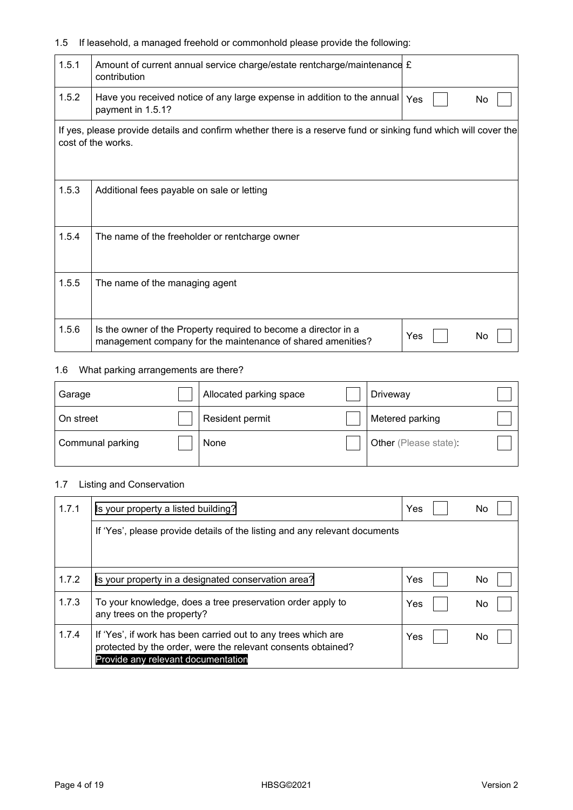# 1.5 If leasehold, a managed freehold or commonhold please provide the following:

| 1.5.1 | Amount of current annual service charge/estate rentcharge/maintenance $f$<br>contribution                                                   |
|-------|---------------------------------------------------------------------------------------------------------------------------------------------|
| 1.5.2 | Have you received notice of any large expense in addition to the annual $\gamma_{\text{es}}$<br>No<br>payment in 1.5.1?                     |
|       | If yes, please provide details and confirm whether there is a reserve fund or sinking fund which will cover the<br>cost of the works.       |
| 1.5.3 | Additional fees payable on sale or letting                                                                                                  |
| 1.5.4 | The name of the freeholder or rentcharge owner                                                                                              |
| 1.5.5 | The name of the managing agent                                                                                                              |
| 1.5.6 | Is the owner of the Property required to become a director in a<br>Yes<br>No<br>management company for the maintenance of shared amenities? |

# 1.6 What parking arrangements are there?

| Garage           | Allocated parking space | Driveway              |  |
|------------------|-------------------------|-----------------------|--|
| On street        | Resident permit         | Metered parking       |  |
| Communal parking | None                    | Other (Please state): |  |

# 1.7 Listing and Conservation

| 1.7.1 | Is your property a listed building?                                                                                                                                 | Yes | No  |
|-------|---------------------------------------------------------------------------------------------------------------------------------------------------------------------|-----|-----|
|       | If 'Yes', please provide details of the listing and any relevant documents                                                                                          |     |     |
|       |                                                                                                                                                                     |     |     |
| 1.7.2 | Is your property in a designated conservation area?                                                                                                                 | Yes | No. |
| 1.7.3 | To your knowledge, does a tree preservation order apply to<br>any trees on the property?                                                                            | Yes | No  |
| 1.7.4 | If 'Yes', if work has been carried out to any trees which are<br>protected by the order, were the relevant consents obtained?<br>Provide any relevant documentation | Yes | No  |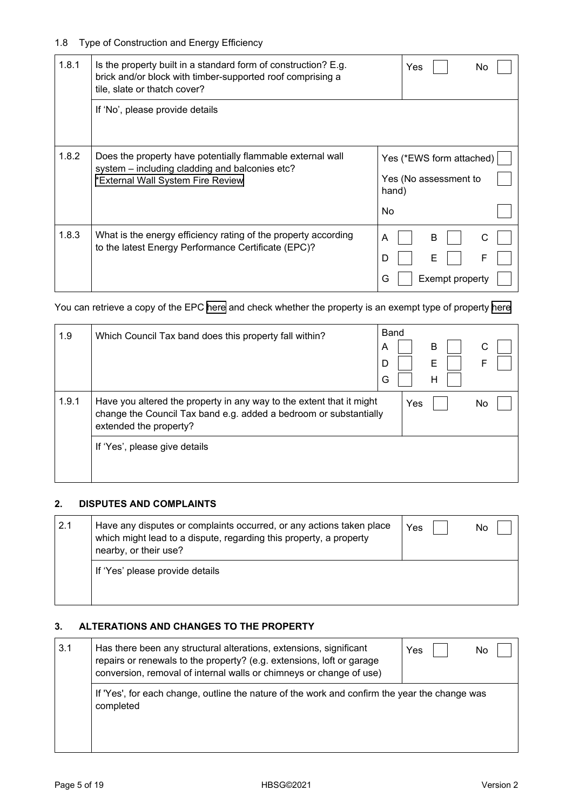# 1.8 Type of Construction and Energy Efficiency

| 1.8.1 | Is the property built in a standard form of construction? E.g.<br>brick and/or block with timber-supported roof comprising a<br>tile, slate or thatch cover? |             | Yes                                               | No. |
|-------|--------------------------------------------------------------------------------------------------------------------------------------------------------------|-------------|---------------------------------------------------|-----|
|       | If 'No', please provide details                                                                                                                              |             |                                                   |     |
| 1.8.2 | Does the property have potentially flammable external wall<br>system - including cladding and balconies etc?<br>*External Wall System Fire Review            | hand)<br>No | Yes (*EWS form attached)<br>Yes (No assessment to |     |
| 1.8.3 | What is the energy efficiency rating of the property according<br>to the latest Energy Performance Certificate (EPC)?                                        | A<br>D<br>G | B<br>Exempt property                              | F   |

You can retrieve a copy of the EPC [here](https://find-energy-certificate.digital.communities.gov.uk/) and check whether the property is an exempt type of property [here](https://www.gov.uk/buy-sell-your-home/energy-performance-certificates)

| 1.9   | Which Council Tax band does this property fall within?                                                                                                              | Band<br>A<br>D<br>G |     | В<br>E<br>н | С<br>F |
|-------|---------------------------------------------------------------------------------------------------------------------------------------------------------------------|---------------------|-----|-------------|--------|
| 1.9.1 | Have you altered the property in any way to the extent that it might<br>change the Council Tax band e.g. added a bedroom or substantially<br>extended the property? |                     | Yes |             | No     |
|       | If 'Yes', please give details                                                                                                                                       |                     |     |             |        |

## **2. DISPUTES AND COMPLAINTS**

| 2.1 | Have any disputes or complaints occurred, or any actions taken place<br>which might lead to a dispute, regarding this property, a property<br>nearby, or their use? | Yes | No |
|-----|---------------------------------------------------------------------------------------------------------------------------------------------------------------------|-----|----|
|     | If 'Yes' please provide details                                                                                                                                     |     |    |

## **3. ALTERATIONS AND CHANGES TO THE PROPERTY**

| 3.1 | Has there been any structural alterations, extensions, significant<br>repairs or renewals to the property? (e.g. extensions, loft or garage<br>conversion, removal of internal walls or chimneys or change of use) | Yes<br>No |
|-----|--------------------------------------------------------------------------------------------------------------------------------------------------------------------------------------------------------------------|-----------|
|     | If 'Yes', for each change, outline the nature of the work and confirm the year the change was<br>completed                                                                                                         |           |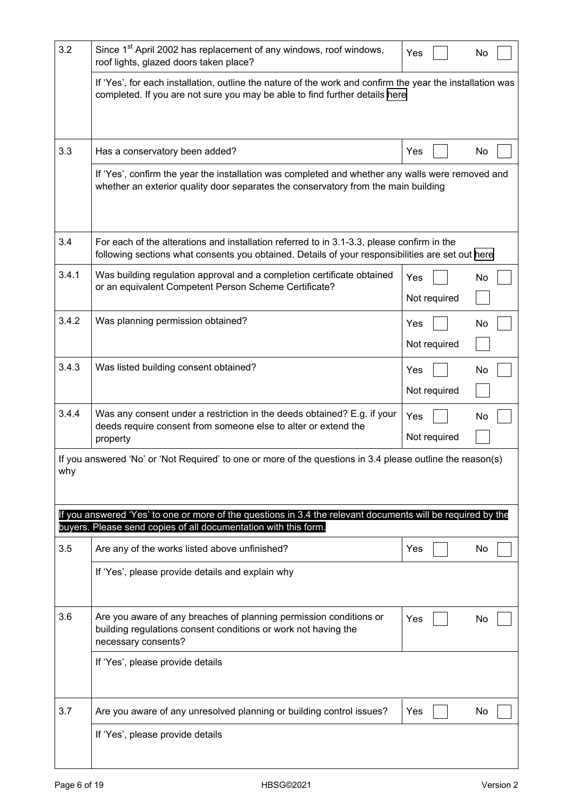| 3.2   | Since 1 <sup>st</sup> April 2002 has replacement of any windows, roof windows,<br>roof lights, glazed doors taken place?                                                                       | Yes                 |  | No |  |  |
|-------|------------------------------------------------------------------------------------------------------------------------------------------------------------------------------------------------|---------------------|--|----|--|--|
|       | If 'Yes', for each installation, outline the nature of the work and confirm the year the installation was<br>completed. If you are not sure you may be able to find further details here       |                     |  |    |  |  |
| 3.3   | Has a conservatory been added?                                                                                                                                                                 | Yes                 |  | No |  |  |
|       | If 'Yes', confirm the year the installation was completed and whether any walls were removed and<br>whether an exterior quality door separates the conservatory from the main building         |                     |  |    |  |  |
| 3.4   | For each of the alterations and installation referred to in 3.1-3.3, please confirm in the<br>following sections what consents you obtained. Details of your responsibilities are set out here |                     |  |    |  |  |
| 3.4.1 | Was building regulation approval and a completion certificate obtained<br>or an equivalent Competent Person Scheme Certificate?                                                                | Yes<br>Not required |  | No |  |  |
| 3.4.2 | Was planning permission obtained?                                                                                                                                                              | Yes<br>Not required |  | No |  |  |
| 3.4.3 | Was listed building consent obtained?                                                                                                                                                          | Yes<br>Not required |  | No |  |  |
| 3.4.4 | Was any consent under a restriction in the deeds obtained? E.g. if your<br>deeds require consent from someone else to alter or extend the<br>property                                          | Yes<br>Not required |  | No |  |  |
| why   | If you answered 'No' or 'Not Required' to one or more of the questions in 3.4 please outline the reason(s)                                                                                     |                     |  |    |  |  |
|       | If you answered 'Yes' to one or more of the questions in 3.4 the relevant documents will be required by the<br>buyers. Please send copies of all documentation with this form.                 |                     |  |    |  |  |
| 3.5   | Are any of the works listed above unfinished?                                                                                                                                                  | Yes                 |  | No |  |  |
|       | If 'Yes', please provide details and explain why                                                                                                                                               |                     |  |    |  |  |
| 3.6   | Are you aware of any breaches of planning permission conditions or<br>building regulations consent conditions or work not having the<br>necessary consents?                                    | Yes                 |  | No |  |  |
|       | If 'Yes', please provide details                                                                                                                                                               |                     |  |    |  |  |
| 3.7   | Are you aware of any unresolved planning or building control issues?                                                                                                                           | Yes                 |  | No |  |  |
|       | If 'Yes', please provide details                                                                                                                                                               |                     |  |    |  |  |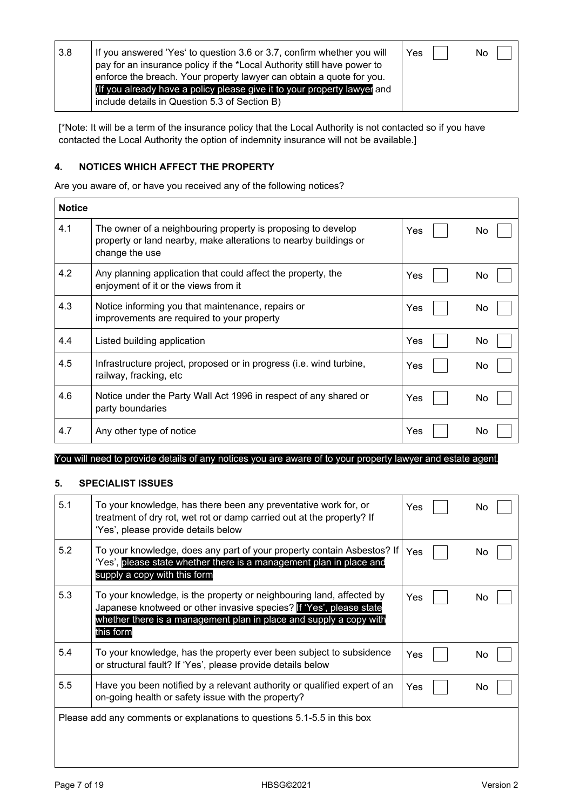| 3.8 | If you answered 'Yes' to question 3.6 or 3.7, confirm whether you will<br>pay for an insurance policy if the *Local Authority still have power to<br>enforce the breach. Your property lawyer can obtain a quote for you.<br>(If you already have a policy please give it to your property lawyer and<br>include details in Question 5.3 of Section B) | Yes | No. |
|-----|--------------------------------------------------------------------------------------------------------------------------------------------------------------------------------------------------------------------------------------------------------------------------------------------------------------------------------------------------------|-----|-----|
|     |                                                                                                                                                                                                                                                                                                                                                        |     |     |

[\*Note: It will be a term of the insurance policy that the Local Authority is not contacted so if you have contacted the Local Authority the option of indemnity insurance will not be available.]

## **4. NOTICES WHICH AFFECT THE PROPERTY**

Are you aware of, or have you received any of the following notices?

| <b>Notice</b> |                                                                                                                                                    |     |    |
|---------------|----------------------------------------------------------------------------------------------------------------------------------------------------|-----|----|
| 4.1           | The owner of a neighbouring property is proposing to develop<br>property or land nearby, make alterations to nearby buildings or<br>change the use | Yes | No |
| 4.2           | Any planning application that could affect the property, the<br>enjoyment of it or the views from it                                               | Yes | No |
| 4.3           | Notice informing you that maintenance, repairs or<br>improvements are required to your property                                                    | Yes | No |
| 4.4           | Listed building application                                                                                                                        | Yes | No |
| 4.5           | Infrastructure project, proposed or in progress (i.e. wind turbine,<br>railway, fracking, etc                                                      | Yes | No |
| 4.6           | Notice under the Party Wall Act 1996 in respect of any shared or<br>party boundaries                                                               | Yes | No |
| 4.7           | Any other type of notice                                                                                                                           | Yes | No |

#### You will need to provide details of any notices you are aware of to your property lawyer and estate agent.

### **5. SPECIALIST ISSUES**

| 5.1 | To your knowledge, has there been any preventative work for, or<br>treatment of dry rot, wet rot or damp carried out at the property? If<br>'Yes', please provide details below                                                | Yes | No |  |
|-----|--------------------------------------------------------------------------------------------------------------------------------------------------------------------------------------------------------------------------------|-----|----|--|
| 5.2 | To your knowledge, does any part of your property contain Asbestos? If<br>'Yes', please state whether there is a management plan in place and<br>supply a copy with this form                                                  | Yes | No |  |
| 5.3 | To your knowledge, is the property or neighbouring land, affected by<br>Japanese knotweed or other invasive species? If 'Yes', please state<br>whether there is a management plan in place and supply a copy with<br>this form | Yes | No |  |
| 5.4 | To your knowledge, has the property ever been subject to subsidence<br>or structural fault? If 'Yes', please provide details below                                                                                             | Yes | No |  |
| 5.5 | Have you been notified by a relevant authority or qualified expert of an<br>on-going health or safety issue with the property?                                                                                                 | Yes | No |  |
|     | Please add any comments or explanations to questions 5.1-5.5 in this box                                                                                                                                                       |     |    |  |
|     |                                                                                                                                                                                                                                |     |    |  |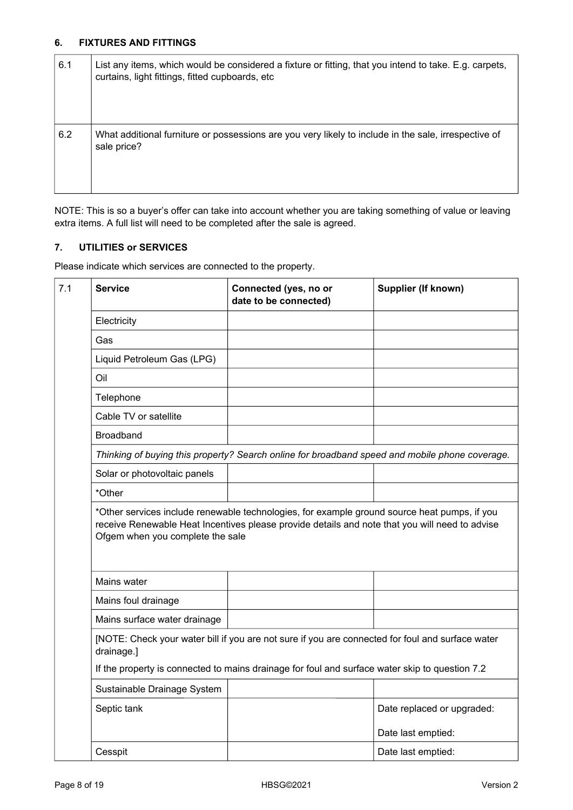## **6. FIXTURES AND FITTINGS**

| 6.1 | List any items, which would be considered a fixture or fitting, that you intend to take. E.g. carpets,<br>curtains, light fittings, fitted cupboards, etc |
|-----|-----------------------------------------------------------------------------------------------------------------------------------------------------------|
| 6.2 | What additional furniture or possessions are you very likely to include in the sale, irrespective of<br>sale price?                                       |

NOTE: This is so a buyer's offer can take into account whether you are taking something of value or leaving extra items. A full list will need to be completed after the sale is agreed.

## **7. UTILITIES or SERVICES**

Please indicate which services are connected to the property.

|                                            | Connected (yes, no or<br>date to be connected)                                                   | <b>Supplier (If known)</b> |
|--------------------------------------------|--------------------------------------------------------------------------------------------------|----------------------------|
| Electricity                                |                                                                                                  |                            |
| Gas                                        |                                                                                                  |                            |
| Liquid Petroleum Gas (LPG)                 |                                                                                                  |                            |
| Oil                                        |                                                                                                  |                            |
| Telephone                                  |                                                                                                  |                            |
| Cable TV or satellite                      |                                                                                                  |                            |
| <b>Broadband</b>                           |                                                                                                  |                            |
|                                            | Thinking of buying this property? Search online for broadband speed and mobile phone coverage.   |                            |
| Solar or photovoltaic panels               |                                                                                                  |                            |
| *Other                                     |                                                                                                  |                            |
|                                            | Ofgem when you complete the sale                                                                 |                            |
|                                            |                                                                                                  |                            |
| Mains water                                |                                                                                                  |                            |
| Mains foul drainage                        |                                                                                                  |                            |
| Mains surface water drainage<br>drainage.] | [NOTE: Check your water bill if you are not sure if you are connected for foul and surface water |                            |
|                                            | If the property is connected to mains drainage for foul and surface water skip to question 7.2   |                            |
| Sustainable Drainage System                |                                                                                                  |                            |
| Septic tank                                |                                                                                                  | Date replaced or upgraded: |
|                                            |                                                                                                  | Date last emptied:         |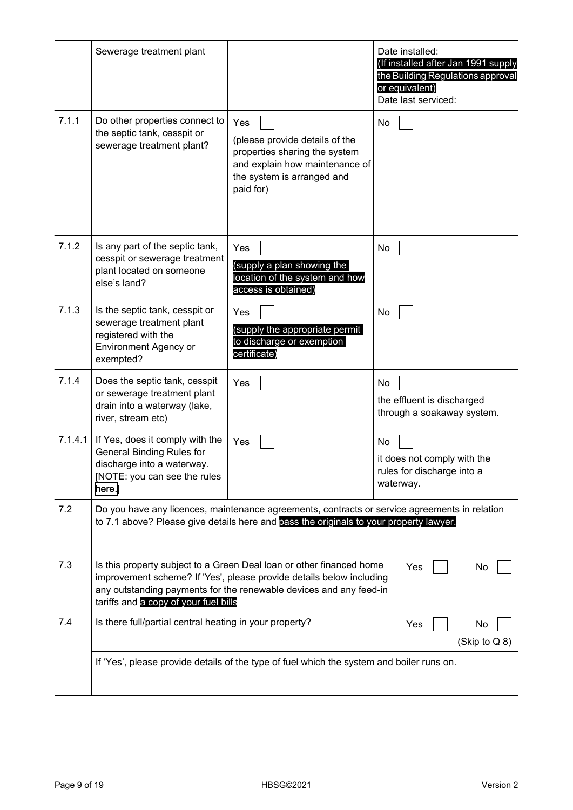|         | Sewerage treatment plant                                                                                                                    |                                                                                                                                                                                                                    | Date installed:<br>(If installed after Jan 1991 supply<br>the Building Regulations approval<br>or equivalent)<br>Date last serviced: |
|---------|---------------------------------------------------------------------------------------------------------------------------------------------|--------------------------------------------------------------------------------------------------------------------------------------------------------------------------------------------------------------------|--------------------------------------------------------------------------------------------------------------------------------------|
| 7.1.1   | Do other properties connect to<br>the septic tank, cesspit or<br>sewerage treatment plant?                                                  | Yes<br>(please provide details of the<br>properties sharing the system<br>and explain how maintenance of<br>the system is arranged and<br>paid for)                                                                | No                                                                                                                                   |
| 7.1.2   | Is any part of the septic tank,<br>cesspit or sewerage treatment<br>plant located on someone<br>else's land?                                | Yes<br>(supply a plan showing the<br>location of the system and how<br>access is obtained)                                                                                                                         | No                                                                                                                                   |
| 7.1.3   | Is the septic tank, cesspit or<br>sewerage treatment plant<br>registered with the<br><b>Environment Agency or</b><br>exempted?              | Yes<br>(supply the appropriate permit<br>to discharge or exemption<br>certificate)                                                                                                                                 | No                                                                                                                                   |
| 7.1.4   | Does the septic tank, cesspit<br>or sewerage treatment plant<br>drain into a waterway (lake,<br>river, stream etc)                          | Yes                                                                                                                                                                                                                | No<br>the effluent is discharged<br>through a soakaway system.                                                                       |
| 7.1.4.1 | If Yes, does it comply with the<br><b>General Binding Rules for</b><br>discharge into a waterway.<br>[NOTE: you can see the rules<br>here.] | Yes                                                                                                                                                                                                                | No<br>it does not comply with the<br>rules for discharge into a<br>waterway.                                                         |
| 7.2     |                                                                                                                                             | Do you have any licences, maintenance agreements, contracts or service agreements in relation<br>to 7.1 above? Please give details here and pass the originals to your property lawyer.                            |                                                                                                                                      |
| 7.3     | tariffs and a copy of your fuel bills                                                                                                       | Is this property subject to a Green Deal loan or other financed home<br>improvement scheme? If 'Yes', please provide details below including<br>any outstanding payments for the renewable devices and any feed-in | Yes<br>No                                                                                                                            |
| 7.4     | Is there full/partial central heating in your property?                                                                                     |                                                                                                                                                                                                                    | Yes<br>No<br>(Skip to Q 8)                                                                                                           |
|         |                                                                                                                                             | If 'Yes', please provide details of the type of fuel which the system and boiler runs on.                                                                                                                          |                                                                                                                                      |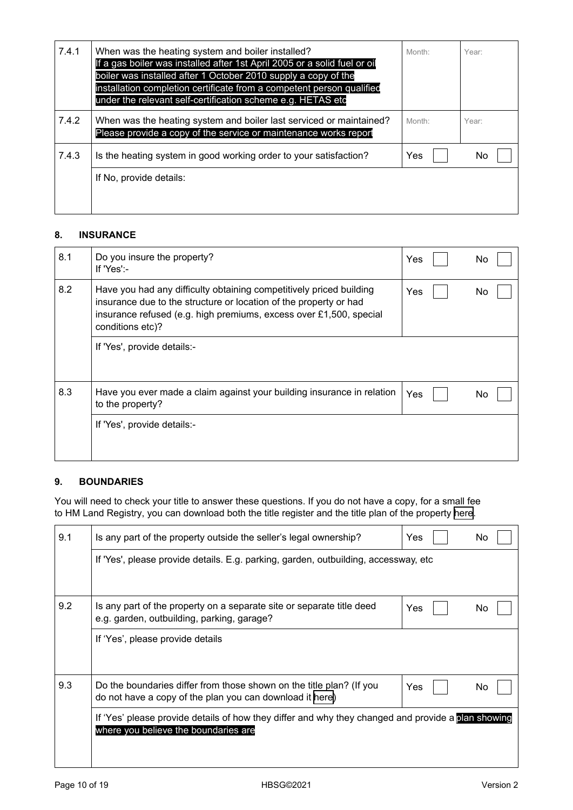| 7.4.1 | When was the heating system and boiler installed?<br>If a gas boiler was installed after 1st April 2005 or a solid fuel or oil<br>boiler was installed after 1 October 2010 supply a copy of the<br>installation completion certificate from a competent person qualified<br>under the relevant self-certification scheme e.g. HETAS etc | Month: | Year: |
|-------|------------------------------------------------------------------------------------------------------------------------------------------------------------------------------------------------------------------------------------------------------------------------------------------------------------------------------------------|--------|-------|
| 7.4.2 | When was the heating system and boiler last serviced or maintained?<br>Please provide a copy of the service or maintenance works report                                                                                                                                                                                                  | Month: | Year: |
| 7.4.3 | Is the heating system in good working order to your satisfaction?                                                                                                                                                                                                                                                                        | Yes    | No.   |
|       | If No, provide details:                                                                                                                                                                                                                                                                                                                  |        |       |

## **8. INSURANCE**

| 8.1 | Do you insure the property?<br>If 'Yes':-                                                                                                                                                                                          | Yes | No |  |
|-----|------------------------------------------------------------------------------------------------------------------------------------------------------------------------------------------------------------------------------------|-----|----|--|
| 8.2 | Have you had any difficulty obtaining competitively priced building<br>insurance due to the structure or location of the property or had<br>insurance refused (e.g. high premiums, excess over £1,500, special<br>conditions etc)? | Yes | No |  |
|     | If 'Yes', provide details:-                                                                                                                                                                                                        |     |    |  |
| 8.3 | Have you ever made a claim against your building insurance in relation<br>to the property?                                                                                                                                         | Yes | No |  |
|     | If 'Yes', provide details:-                                                                                                                                                                                                        |     |    |  |

### **9. BOUNDARIES**

You will need to check your title to answer these questions. If you do not have a copy, for a small fee to HM Land Registry, you can download both the title register and the title plan of the property [here.](https://eservices.landregistry.gov.uk/eservices/FindAProperty/view/QuickEnquiryInit.do)

| 9.1 | Is any part of the property outside the seller's legal ownership?                                                                          | Yes | No. |
|-----|--------------------------------------------------------------------------------------------------------------------------------------------|-----|-----|
|     | If 'Yes', please provide details. E.g. parking, garden, outbuilding, accessway, etc                                                        |     |     |
| 9.2 | Is any part of the property on a separate site or separate title deed<br>e.g. garden, outbuilding, parking, garage?                        | Yes | No. |
|     | If 'Yes', please provide details                                                                                                           |     |     |
| 9.3 | Do the boundaries differ from those shown on the title plan? (If you<br>do not have a copy of the plan you can download it here)           | Yes | No  |
|     | If 'Yes' please provide details of how they differ and why they changed and provide a plan showing<br>where you believe the boundaries are |     |     |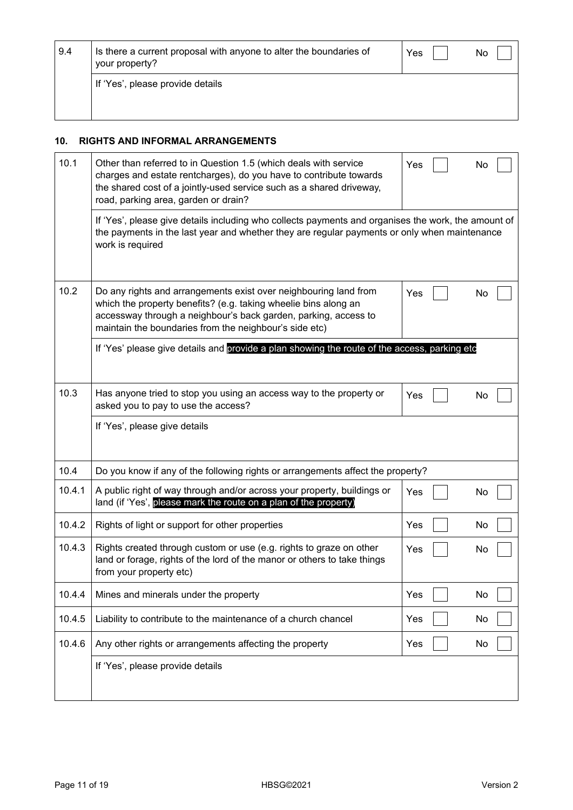| 9.4 | Is there a current proposal with anyone to alter the boundaries of<br>your property? | Yes | No |
|-----|--------------------------------------------------------------------------------------|-----|----|
|     | If 'Yes', please provide details                                                     |     |    |

#### **10. RIGHTS AND INFORMAL ARRANGEMENTS**

| 10.1   | Other than referred to in Question 1.5 (which deals with service<br>charges and estate rentcharges), do you have to contribute towards<br>the shared cost of a jointly-used service such as a shared driveway,<br>road, parking area, garden or drain?           | Yes | No |
|--------|------------------------------------------------------------------------------------------------------------------------------------------------------------------------------------------------------------------------------------------------------------------|-----|----|
|        | If 'Yes', please give details including who collects payments and organises the work, the amount of<br>the payments in the last year and whether they are regular payments or only when maintenance<br>work is required                                          |     |    |
| 10.2   | Do any rights and arrangements exist over neighbouring land from<br>which the property benefits? (e.g. taking wheelie bins along an<br>accessway through a neighbour's back garden, parking, access to<br>maintain the boundaries from the neighbour's side etc) | Yes | No |
|        | If 'Yes' please give details and provide a plan showing the route of the access, parking etc                                                                                                                                                                     |     |    |
| 10.3   | Has anyone tried to stop you using an access way to the property or<br>asked you to pay to use the access?                                                                                                                                                       | Yes | No |
|        | If 'Yes', please give details                                                                                                                                                                                                                                    |     |    |
| 10.4   | Do you know if any of the following rights or arrangements affect the property?                                                                                                                                                                                  |     |    |
| 10.4.1 | A public right of way through and/or across your property, buildings or<br>land (if 'Yes', please mark the route on a plan of the property)                                                                                                                      | Yes | No |
| 10.4.2 | Rights of light or support for other properties                                                                                                                                                                                                                  | Yes | No |
| 10.4.3 | Rights created through custom or use (e.g. rights to graze on other<br>land or forage, rights of the lord of the manor or others to take things<br>from your property etc)                                                                                       | Yes | No |
| 10.4.4 | Mines and minerals under the property                                                                                                                                                                                                                            | Yes | No |
| 10.4.5 | Liability to contribute to the maintenance of a church chancel                                                                                                                                                                                                   | Yes | No |
| 10.4.6 | Any other rights or arrangements affecting the property                                                                                                                                                                                                          | Yes | No |
|        | If 'Yes', please provide details                                                                                                                                                                                                                                 |     |    |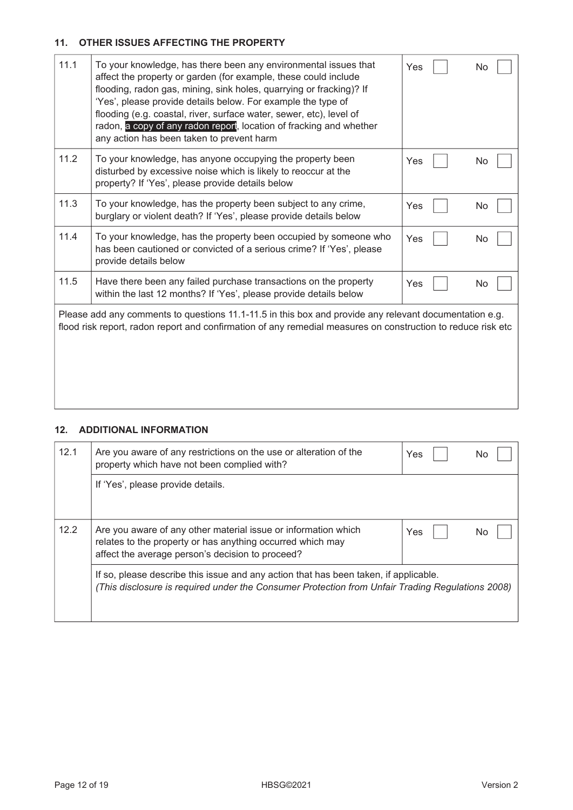## **11. OTHER ISSUES AFFECTING THE PROPERTY**

| 11.1 | To your knowledge, has there been any environmental issues that<br>affect the property or garden (for example, these could include<br>flooding, radon gas, mining, sink holes, quarrying or fracking)? If<br>'Yes', please provide details below. For example the type of<br>flooding (e.g. coastal, river, surface water, sewer, etc), level of<br>radon, a copy of any radon report, location of fracking and whether<br>any action has been taken to prevent harm | Yes | No |
|------|----------------------------------------------------------------------------------------------------------------------------------------------------------------------------------------------------------------------------------------------------------------------------------------------------------------------------------------------------------------------------------------------------------------------------------------------------------------------|-----|----|
| 11.2 | To your knowledge, has anyone occupying the property been<br>disturbed by excessive noise which is likely to reoccur at the<br>property? If 'Yes', please provide details below                                                                                                                                                                                                                                                                                      | Yes | No |
| 11.3 | To your knowledge, has the property been subject to any crime,<br>burglary or violent death? If 'Yes', please provide details below                                                                                                                                                                                                                                                                                                                                  | Yes | No |
| 11.4 | To your knowledge, has the property been occupied by someone who<br>has been cautioned or convicted of a serious crime? If 'Yes', please<br>provide details below                                                                                                                                                                                                                                                                                                    | Yes | No |
| 11.5 | Have there been any failed purchase transactions on the property<br>within the last 12 months? If 'Yes', please provide details below                                                                                                                                                                                                                                                                                                                                | Yes | No |
|      | Please add any comments to questions 11.1-11.5 in this box and provide any relevant documentation e.g.<br>flood risk report, radon report and confirmation of any remedial measures on construction to reduce risk etc                                                                                                                                                                                                                                               |     |    |

# **12. ADDITIONAL INFORMATION**

| 12.1 | Are you aware of any restrictions on the use or alteration of the<br>property which have not been complied with?                                                                         | Yes | No |  |  |  |
|------|------------------------------------------------------------------------------------------------------------------------------------------------------------------------------------------|-----|----|--|--|--|
|      | If 'Yes', please provide details.                                                                                                                                                        |     |    |  |  |  |
| 12.2 | Are you aware of any other material issue or information which<br>relates to the property or has anything occurred which may<br>affect the average person's decision to proceed?         | Yes | Nο |  |  |  |
|      | If so, please describe this issue and any action that has been taken, if applicable.<br>(This disclosure is required under the Consumer Protection from Unfair Trading Regulations 2008) |     |    |  |  |  |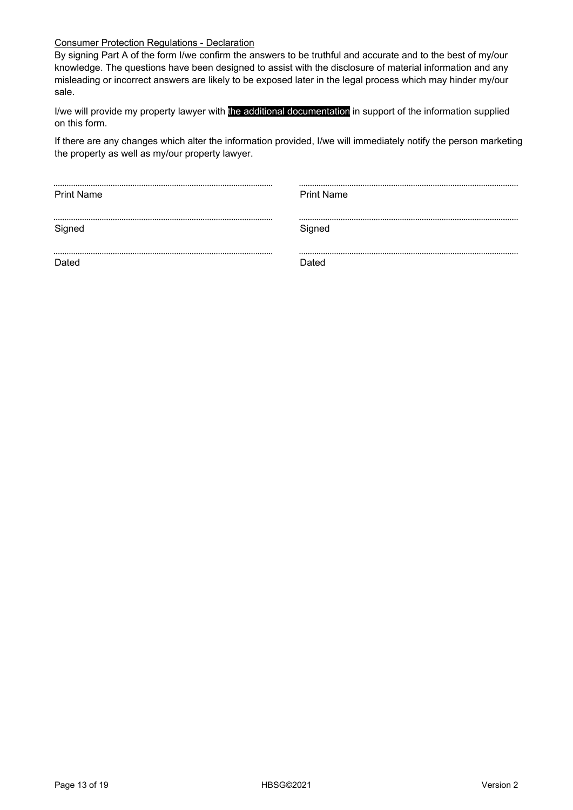## Consumer Protection Regulations - Declaration

By signing Part A of the form I/we confirm the answers to be truthful and accurate and to the best of my/our knowledge. The questions have been designed to assist with the disclosure of material information and any misleading or incorrect answers are likely to be exposed later in the legal process which may hinder my/our sale.

I/we will provide my property lawyer with the additional documentation in support of the information supplied on this form.

If there are any changes which alter the information provided, I/we will immediately notify the person marketing the property as well as my/our property lawyer.

| <b>Print Name</b> | <b>Print Name</b> |
|-------------------|-------------------|
|                   |                   |
|                   |                   |
| Signed            | Signed            |
|                   |                   |
|                   |                   |
| Dated             | Dated             |
|                   |                   |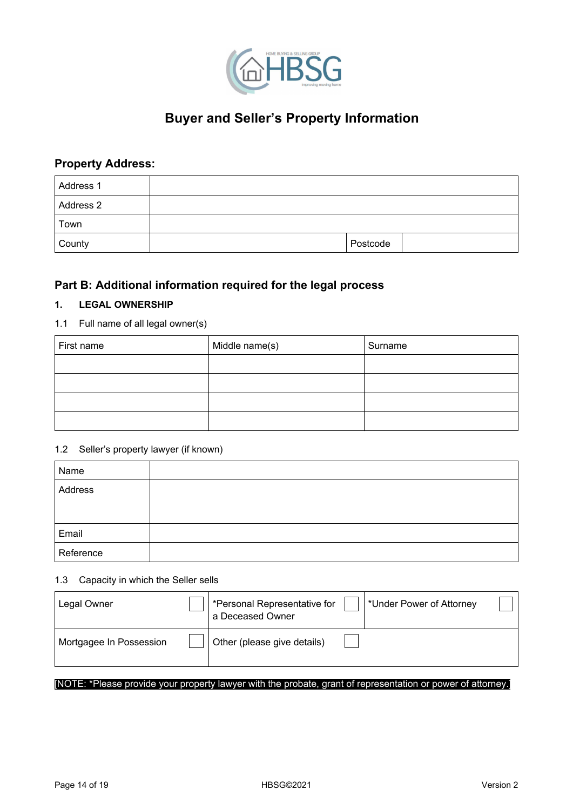

# **Buyer and Seller's Property Information**

# **Property Address:**

| Address 1 |          |  |
|-----------|----------|--|
| Address 2 |          |  |
| Town      |          |  |
| County    | Postcode |  |

# **Part B: Additional information required for the legal process**

## **1. LEGAL OWNERSHIP**

## 1.1 Full name of all legal owner(s)

| First name | Middle name(s) | Surname |
|------------|----------------|---------|
|            |                |         |
|            |                |         |
|            |                |         |
|            |                |         |

### 1.2 Seller's property lawyer (if known)

| Name      |  |
|-----------|--|
| Address   |  |
|           |  |
| Email     |  |
| Reference |  |

#### 1.3 Capacity in which the Seller sells

| Legal Owner             | *Personal Representative for<br>a Deceased Owner | *Under Power of Attorney |  |
|-------------------------|--------------------------------------------------|--------------------------|--|
| Mortgagee In Possession | Other (please give details)                      |                          |  |

#### [NOTE: \*Please provide your property lawyer with the probate, grant of representation or power of attorney.]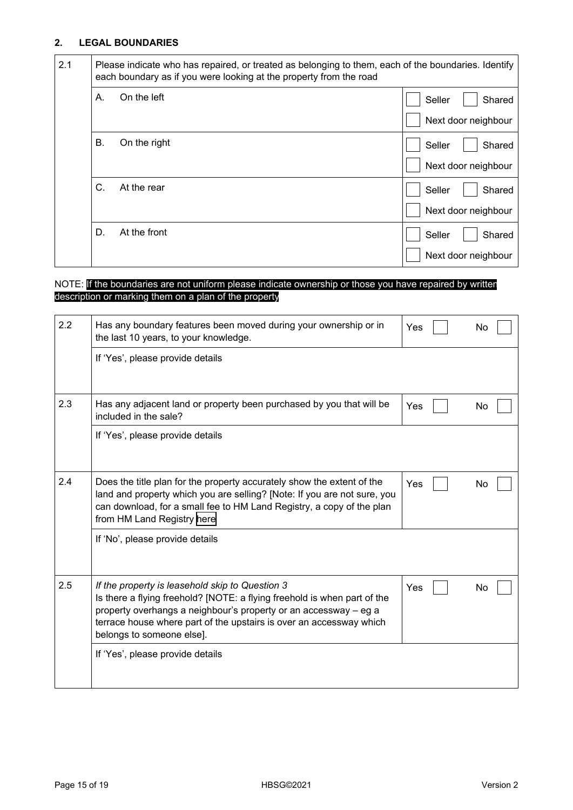## **2. LEGAL BOUNDARIES**

| 2.1 |    | Please indicate who has repaired, or treated as belonging to them, each of the boundaries. Identify<br>each boundary as if you were looking at the property from the road |                     |        |
|-----|----|---------------------------------------------------------------------------------------------------------------------------------------------------------------------------|---------------------|--------|
|     | А. | On the left                                                                                                                                                               | Seller              | Shared |
|     |    |                                                                                                                                                                           | Next door neighbour |        |
|     | В. | On the right                                                                                                                                                              | Seller              | Shared |
|     |    |                                                                                                                                                                           | Next door neighbour |        |
|     | C. | At the rear                                                                                                                                                               | Seller              | Shared |
|     |    |                                                                                                                                                                           | Next door neighbour |        |
|     | D. | At the front                                                                                                                                                              | Seller              | Shared |
|     |    |                                                                                                                                                                           | Next door neighbour |        |

### NOTE: If the boundaries are not uniform please indicate ownership or those you have repaired by written description or marking them on a plan of the property

| 2.2 | Has any boundary features been moved during your ownership or in<br>the last 10 years, to your knowledge.                                                                                                                                                                                           | Yes | Nο |
|-----|-----------------------------------------------------------------------------------------------------------------------------------------------------------------------------------------------------------------------------------------------------------------------------------------------------|-----|----|
|     | If 'Yes', please provide details                                                                                                                                                                                                                                                                    |     |    |
| 2.3 | Has any adjacent land or property been purchased by you that will be<br>included in the sale?                                                                                                                                                                                                       | Yes | No |
|     | If 'Yes', please provide details                                                                                                                                                                                                                                                                    |     |    |
| 2.4 | Does the title plan for the property accurately show the extent of the<br>land and property which you are selling? [Note: If you are not sure, you<br>can download, for a small fee to HM Land Registry, a copy of the plan<br>from HM Land Registry here                                           | Yes | No |
|     | If 'No', please provide details                                                                                                                                                                                                                                                                     |     |    |
| 2.5 | If the property is leasehold skip to Question 3<br>Is there a flying freehold? [NOTE: a flying freehold is when part of the<br>property overhangs a neighbour's property or an accessway - eg a<br>terrace house where part of the upstairs is over an accessway which<br>belongs to someone else]. | Yes | No |
|     | If 'Yes', please provide details                                                                                                                                                                                                                                                                    |     |    |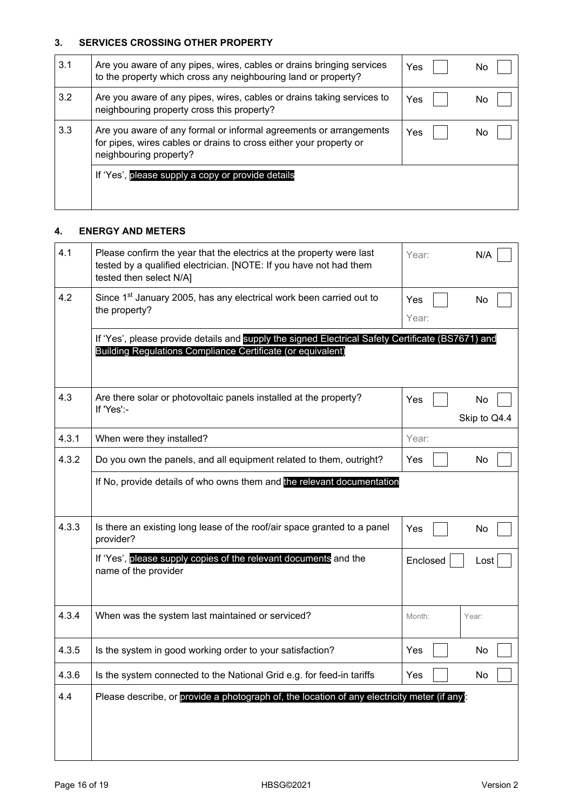## **3. SERVICES CROSSING OTHER PROPERTY**

| 3.1 | Are you aware of any pipes, wires, cables or drains bringing services<br>to the property which cross any neighbouring land or property?                            | Yes | No |
|-----|--------------------------------------------------------------------------------------------------------------------------------------------------------------------|-----|----|
| 3.2 | Are you aware of any pipes, wires, cables or drains taking services to<br>neighbouring property cross this property?                                               | Yes | No |
| 3.3 | Are you aware of any formal or informal agreements or arrangements<br>for pipes, wires cables or drains to cross either your property or<br>neighbouring property? | Yes | No |
|     | If 'Yes', please supply a copy or provide details                                                                                                                  |     |    |

## **4. ENERGY AND METERS**

| 4.1   | Please confirm the year that the electrics at the property were last<br>tested by a qualified electrician. [NOTE: If you have not had them<br>tested then select N/A] | N/A<br>Year:              |
|-------|-----------------------------------------------------------------------------------------------------------------------------------------------------------------------|---------------------------|
| 4.2   | Since 1 <sup>st</sup> January 2005, has any electrical work been carried out to<br>the property?                                                                      | Yes<br>No<br>Year:        |
|       | If 'Yes', please provide details and supply the signed Electrical Safety Certificate (BS7671) and<br>Building Regulations Compliance Certificate (or equivalent)      |                           |
| 4.3   | Are there solar or photovoltaic panels installed at the property?<br>If 'Yes':-                                                                                       | Yes<br>No<br>Skip to Q4.4 |
| 4.3.1 | When were they installed?                                                                                                                                             | Year:                     |
| 4.3.2 | Do you own the panels, and all equipment related to them, outright?                                                                                                   | No<br>Yes                 |
|       | If No, provide details of who owns them and the relevant documentation                                                                                                |                           |
| 4.3.3 | Is there an existing long lease of the roof/air space granted to a panel<br>provider?                                                                                 | Yes<br>No                 |
|       | If 'Yes', please supply copies of the relevant documents and the<br>name of the provider                                                                              | Enclosed<br>Lost          |
| 4.3.4 | When was the system last maintained or serviced?                                                                                                                      | Month:<br>Year:           |
| 4.3.5 | Is the system in good working order to your satisfaction?                                                                                                             | No<br>Yes                 |
| 4.3.6 | Is the system connected to the National Grid e.g. for feed-in tariffs                                                                                                 | Yes<br>No                 |
| 4.4   | Please describe, or provide a photograph of, the location of any electricity meter (if any):                                                                          |                           |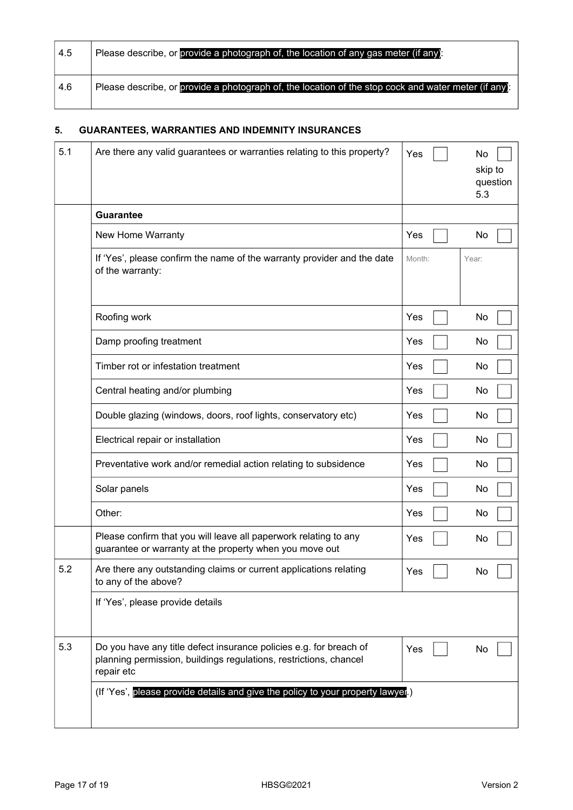| 4.5 | Please describe, or provide a photograph of, the location of any gas meter (if any):                 |
|-----|------------------------------------------------------------------------------------------------------|
| 4.6 | Please describe, or provide a photograph of, the location of the stop cock and water meter (if any): |

# **5. GUARANTEES, WARRANTIES AND INDEMNITY INSURANCES**

| 5.1 | Are there any valid guarantees or warranties relating to this property?                                                                               | Yes    | No<br>skip to<br>question<br>5.3 |
|-----|-------------------------------------------------------------------------------------------------------------------------------------------------------|--------|----------------------------------|
|     | <b>Guarantee</b>                                                                                                                                      |        |                                  |
|     | New Home Warranty                                                                                                                                     | Yes    | No                               |
|     | If 'Yes', please confirm the name of the warranty provider and the date<br>of the warranty:                                                           | Month: | Year:                            |
|     | Roofing work                                                                                                                                          | Yes    | No                               |
|     | Damp proofing treatment                                                                                                                               | Yes    | No                               |
|     | Timber rot or infestation treatment                                                                                                                   | Yes    | No                               |
|     | Central heating and/or plumbing                                                                                                                       | Yes    | No                               |
|     | Double glazing (windows, doors, roof lights, conservatory etc)                                                                                        | Yes    | No                               |
|     | Electrical repair or installation                                                                                                                     | Yes    | No                               |
|     | Preventative work and/or remedial action relating to subsidence                                                                                       | Yes    | No                               |
|     | Solar panels                                                                                                                                          | Yes    | No                               |
|     | Other:                                                                                                                                                | Yes    | No                               |
|     | Please confirm that you will leave all paperwork relating to any<br>guarantee or warranty at the property when you move out                           | Yes    | No                               |
| 5.2 | Are there any outstanding claims or current applications relating<br>to any of the above?                                                             | Yes    | N٥                               |
|     | If 'Yes', please provide details                                                                                                                      |        |                                  |
| 5.3 | Do you have any title defect insurance policies e.g. for breach of<br>planning permission, buildings regulations, restrictions, chancel<br>repair etc | Yes    | No                               |
|     | (If 'Yes', please provide details and give the policy to your property lawyer)                                                                        |        |                                  |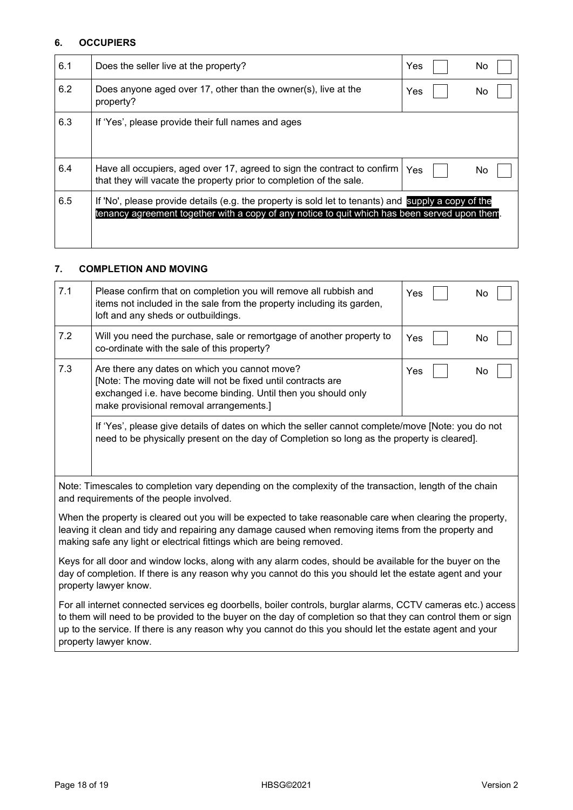### **6. OCCUPIERS**

| 6.1 | Does the seller live at the property?                                                                                                                                                               | Yes | No  |
|-----|-----------------------------------------------------------------------------------------------------------------------------------------------------------------------------------------------------|-----|-----|
| 6.2 | Does anyone aged over 17, other than the owner(s), live at the<br>property?                                                                                                                         | Yes | No  |
| 6.3 | If 'Yes', please provide their full names and ages                                                                                                                                                  |     |     |
| 6.4 | Have all occupiers, aged over 17, agreed to sign the contract to confirm<br>that they will vacate the property prior to completion of the sale.                                                     | Yes | No. |
| 6.5 | If 'No', please provide details (e.g. the property is sold let to tenants) and supply a copy of the<br>tenancy agreement together with a copy of any notice to quit which has been served upon them |     |     |

## **7. COMPLETION AND MOVING**

| 7.1                                                                                                                                                                                                                                                                                       | Please confirm that on completion you will remove all rubbish and<br>items not included in the sale from the property including its garden,<br>loft and any sheds or outbuildings.                                         | Yes<br>No |
|-------------------------------------------------------------------------------------------------------------------------------------------------------------------------------------------------------------------------------------------------------------------------------------------|----------------------------------------------------------------------------------------------------------------------------------------------------------------------------------------------------------------------------|-----------|
| 7.2                                                                                                                                                                                                                                                                                       | Will you need the purchase, sale or remortgage of another property to<br>co-ordinate with the sale of this property?                                                                                                       | Yes<br>No |
| 7.3                                                                                                                                                                                                                                                                                       | Are there any dates on which you cannot move?<br>[Note: The moving date will not be fixed until contracts are<br>exchanged i.e. have become binding. Until then you should only<br>make provisional removal arrangements.] | Yes<br>No |
|                                                                                                                                                                                                                                                                                           | If 'Yes', please give details of dates on which the seller cannot complete/move [Note: you do not<br>need to be physically present on the day of Completion so long as the property is cleared].                           |           |
| Note: Timescales to completion vary depending on the complexity of the transaction, length of the chain<br>and requirements of the people involved.                                                                                                                                       |                                                                                                                                                                                                                            |           |
| When the property is cleared out you will be expected to take reasonable care when clearing the property,<br>leaving it clean and tidy and repairing any damage caused when removing items from the property and<br>making safe any light or electrical fittings which are being removed. |                                                                                                                                                                                                                            |           |
| Keys for all door and window locks, along with any alarm codes, should be available for the buyer on the<br>day of completion. If there is any reason why you cannot do this you should let the estate agent and your<br>property lawyer know.                                            |                                                                                                                                                                                                                            |           |

For all internet connected services eg doorbells, boiler controls, burglar alarms, CCTV cameras etc.) access to them will need to be provided to the buyer on the day of completion so that they can control them or sign up to the service. If there is any reason why you cannot do this you should let the estate agent and your property lawyer know.